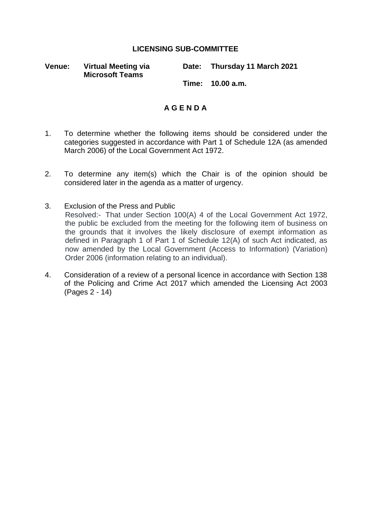## **LICENSING SUB-COMMITTEE**

**Venue: Virtual Meeting via Microsoft Teams**

**Date: Thursday 11 March 2021**

**Time: 10.00 a.m.**

## **A G E N D A**

- 1. To determine whether the following items should be considered under the categories suggested in accordance with Part 1 of Schedule 12A (as amended March 2006) of the Local Government Act 1972.
- 2. To determine any item(s) which the Chair is of the opinion should be considered later in the agenda as a matter of urgency.
- 3. Exclusion of the Press and Public Resolved:- That under Section 100(A) 4 of the Local Government Act 1972, the public be excluded from the meeting for the following item of business on the grounds that it involves the likely disclosure of exempt information as defined in Paragraph 1 of Part 1 of Schedule 12(A) of such Act indicated, as now amended by the Local Government (Access to Information) (Variation) Order 2006 (information relating to an individual).
- 4. Consideration of a review of a personal licence in accordance with Section 138 of the Policing and Crime Act 2017 which amended the Licensing Act 2003 (Pages 2 - 14)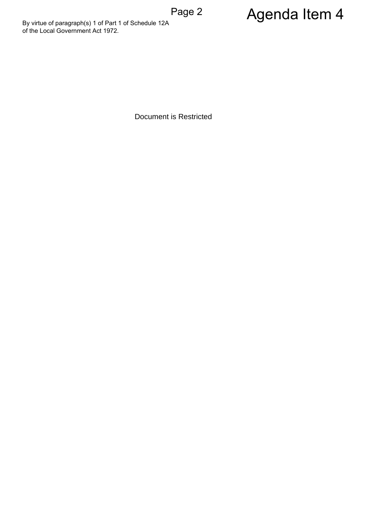By virtue of paragraph(s) 1 of Part 1 of Schedule 12A<br>
of the Local Government Act 1972.<br>
Document is Restricted